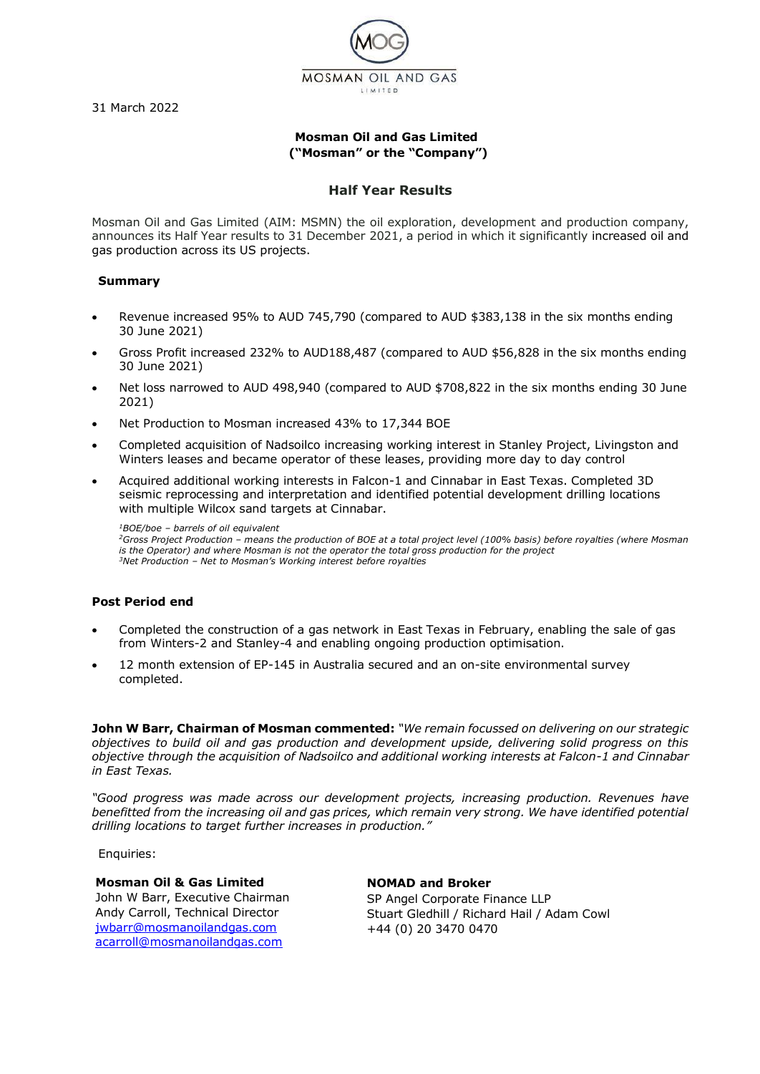31 March 2022



# **Mosman Oil and Gas Limited ("Mosman" or the "Company")**

### **Half Year Results**

Mosman Oil and Gas Limited (AIM: MSMN) the oil exploration, development and production company, announces its Half Year results to 31 December 2021, a period in which it significantly increased oil and gas production across its US projects.

### **Summary**

- Revenue increased 95% to AUD 745,790 (compared to AUD \$383,138 in the six months ending 30 June 2021)
- Gross Profit increased 232% to AUD188,487 (compared to AUD \$56,828 in the six months ending 30 June 2021)
- Net loss narrowed to AUD 498,940 (compared to AUD \$708,822 in the six months ending 30 June 2021)
- Net Production to Mosman increased 43% to 17,344 BOE
- Completed acquisition of Nadsoilco increasing working interest in Stanley Project, Livingston and Winters leases and became operator of these leases, providing more day to day control
- Acquired additional working interests in Falcon-1 and Cinnabar in East Texas. Completed 3D seismic reprocessing and interpretation and identified potential development drilling locations with multiple Wilcox sand targets at Cinnabar.

*<sup>1</sup>BOE/boe – barrels of oil equivalent*

*<sup>2</sup>Gross Project Production – means the production of BOE at a total project level (100% basis) before royalties (where Mosman is the Operator) and where Mosman is not the operator the total gross production for the project <sup>3</sup>Net Production – Net to Mosman's Working interest before royalties*

### **Post Period end**

- Completed the construction of a gas network in East Texas in February, enabling the sale of gas from Winters-2 and Stanley-4 and enabling ongoing production optimisation.
- 12 month extension of EP-145 in Australia secured and an on-site environmental survey completed.

**John W Barr, Chairman of Mosman commented:** *"We remain focussed on delivering on our strategic objectives to build oil and gas production and development upside, delivering solid progress on this objective through the acquisition of Nadsoilco and additional working interests at Falcon-1 and Cinnabar in East Texas.* 

*"Good progress was made across our development projects, increasing production. Revenues have benefitted from the increasing oil and gas prices, which remain very strong. We have identified potential drilling locations to target further increases in production."*

Enquiries:

### **Mosman Oil & Gas Limited**

John W Barr, Executive Chairman Andy Carroll, Technical Director [jwbarr@mosmanoilandgas.com](mailto:jwbarr@mosmanoilandgas.com) [acarroll@mosmanoilandgas.com](mailto:acarroll@mosmanoilandgas.com)

**NOMAD and Broker** SP Angel Corporate Finance LLP Stuart Gledhill / Richard Hail / Adam Cowl +44 (0) 20 3470 0470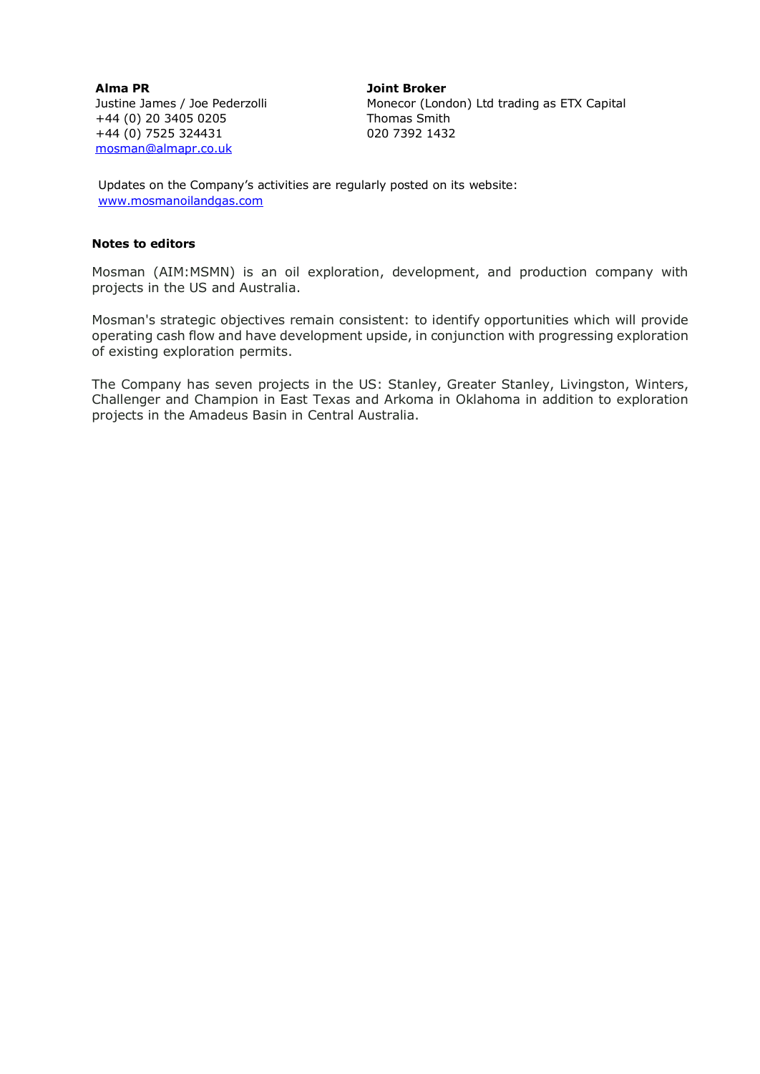**Alma PR** Justine James / Joe Pederzolli +44 (0) 20 3405 0205 +44 (0) 7525 324431 [mosman@almapr.co.uk](mailto:mosman@almapr.co.uk)

**Joint Broker** Monecor (London) Ltd trading as ETX Capital Thomas Smith 020 7392 1432

Updates on the Company's activities are regularly posted on its website: [www.mosmanoilandgas.com](http://www.mosmanoilandgas.com/)

### **Notes to editors**

Mosman (AIM:MSMN) is an oil exploration, development, and production company with projects in the US and Australia.

Mosman's strategic objectives remain consistent: to identify opportunities which will provide operating cash flow and have development upside, in conjunction with progressing exploration of existing exploration permits.

The Company has seven projects in the US: Stanley, Greater Stanley, Livingston, Winters, Challenger and Champion in East Texas and Arkoma in Oklahoma in addition to exploration projects in the Amadeus Basin in Central Australia.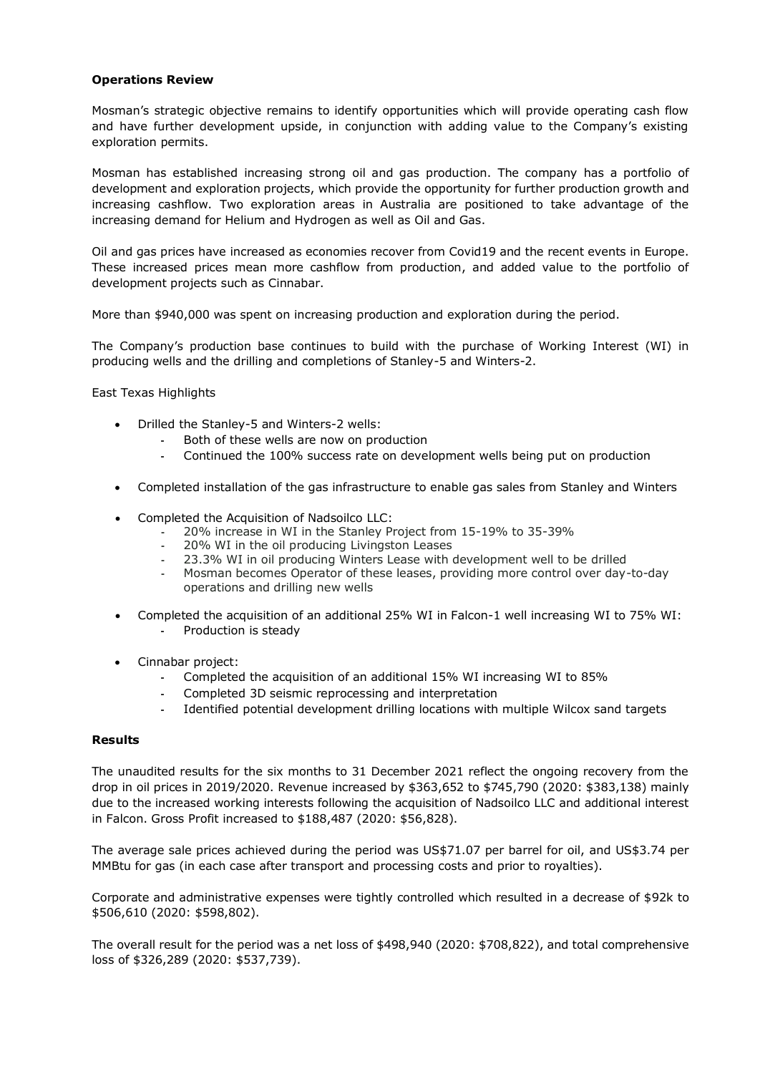### **Operations Review**

Mosman's strategic objective remains to identify opportunities which will provide operating cash flow and have further development upside, in conjunction with adding value to the Company's existing exploration permits.

Mosman has established increasing strong oil and gas production. The company has a portfolio of development and exploration projects, which provide the opportunity for further production growth and increasing cashflow. Two exploration areas in Australia are positioned to take advantage of the increasing demand for Helium and Hydrogen as well as Oil and Gas.

Oil and gas prices have increased as economies recover from Covid19 and the recent events in Europe. These increased prices mean more cashflow from production, and added value to the portfolio of development projects such as Cinnabar.

More than \$940,000 was spent on increasing production and exploration during the period.

The Company's production base continues to build with the purchase of Working Interest (WI) in producing wells and the drilling and completions of Stanley-5 and Winters-2.

East Texas Highlights

- Drilled the Stanley-5 and Winters-2 wells:
	- **-** Both of these wells are now on production
	- **-** Continued the 100% success rate on development wells being put on production
- Completed installation of the gas infrastructure to enable gas sales from Stanley and Winters
- Completed the Acquisition of Nadsoilco LLC:
	- **-** 20% increase in WI in the Stanley Project from 15-19% to 35-39%
	- **-** 20% WI in the oil producing Livingston Leases
	- **-** 23.3% WI in oil producing Winters Lease with development well to be drilled
	- **-** Mosman becomes Operator of these leases, providing more control over day-to-day operations and drilling new wells
- Completed the acquisition of an additional 25% WI in Falcon-1 well increasing WI to 75% WI: **-** Production is steady
- Cinnabar project:
	- **-** Completed the acquisition of an additional 15% WI increasing WI to 85%
	- **-** Completed 3D seismic reprocessing and interpretation
	- **-** Identified potential development drilling locations with multiple Wilcox sand targets

### **Results**

The unaudited results for the six months to 31 December 2021 reflect the ongoing recovery from the drop in oil prices in 2019/2020. Revenue increased by \$363,652 to \$745,790 (2020: \$383,138) mainly due to the increased working interests following the acquisition of Nadsoilco LLC and additional interest in Falcon. Gross Profit increased to \$188,487 (2020: \$56,828).

The average sale prices achieved during the period was US\$71.07 per barrel for oil, and US\$3.74 per MMBtu for gas (in each case after transport and processing costs and prior to royalties).

Corporate and administrative expenses were tightly controlled which resulted in a decrease of \$92k to \$506,610 (2020: \$598,802).

The overall result for the period was a net loss of \$498,940 (2020: \$708,822), and total comprehensive loss of \$326,289 (2020: \$537,739).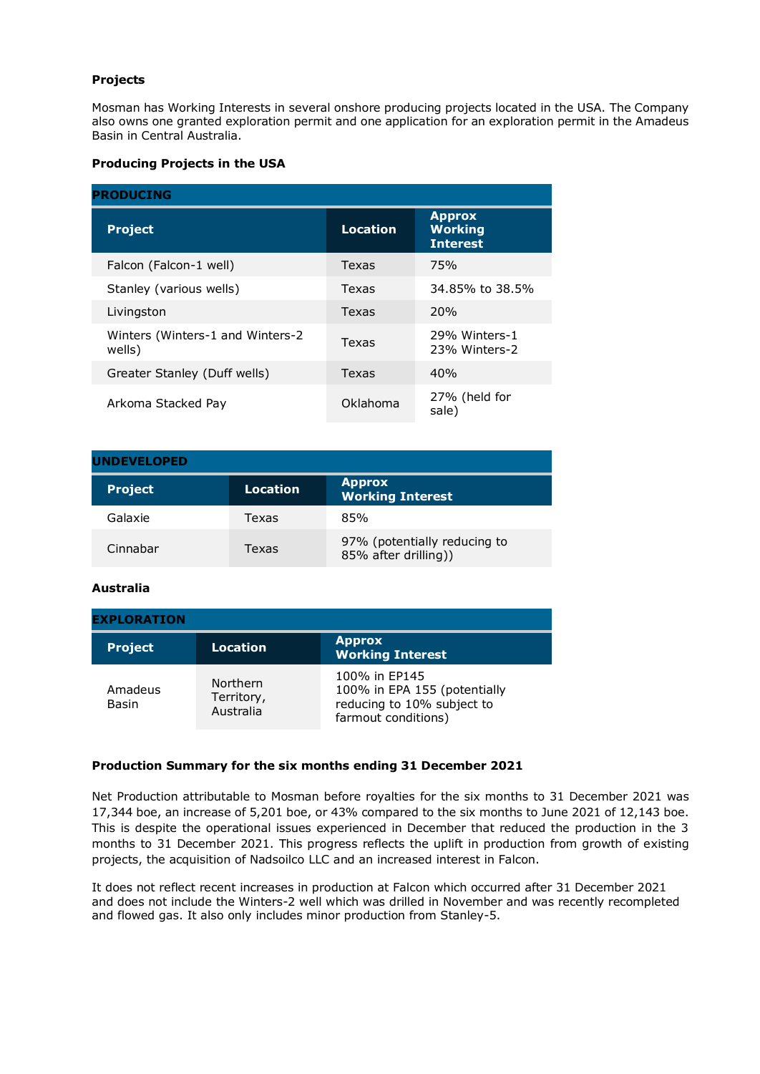# **Projects**

Mosman has Working Interests in several onshore producing projects located in the USA. The Company also owns one granted exploration permit and one application for an exploration permit in the Amadeus Basin in Central Australia.

### **Producing Projects in the USA**

| <b>PRODUCING</b>                           |          |                                                    |  |  |
|--------------------------------------------|----------|----------------------------------------------------|--|--|
| <b>Project</b>                             | Location | <b>Approx</b><br><b>Working</b><br><b>Interest</b> |  |  |
| Falcon (Falcon-1 well)                     | Texas    | 75%                                                |  |  |
| Stanley (various wells)                    | Texas    | 34.85% to 38.5%                                    |  |  |
| Livingston                                 | Texas    | 20%                                                |  |  |
| Winters (Winters-1 and Winters-2<br>wells) | Texas    | 29% Winters-1<br>23% Winters-2                     |  |  |
| Greater Stanley (Duff wells)               | Texas    | 40%                                                |  |  |
| Arkoma Stacked Pay                         | Oklahoma | 27% (held for<br>sale)                             |  |  |

| <b>UNDEVELOPED</b> |          |                                                      |  |  |
|--------------------|----------|------------------------------------------------------|--|--|
| <b>Project</b>     | Location | <b>Approx</b><br><b>Working Interest</b>             |  |  |
| Galaxie            | Texas    | 85%                                                  |  |  |
| Cinnabar           | Texas    | 97% (potentially reducing to<br>85% after drilling)) |  |  |

### **Australia**

| <b>EXPLORATION</b> |                                     |                                                                                                    |  |
|--------------------|-------------------------------------|----------------------------------------------------------------------------------------------------|--|
| <b>Project</b>     | <b>Location</b>                     | <b>Approx</b><br><b>Working Interest</b>                                                           |  |
| Amadeus<br>Basin   | Northern<br>Territory,<br>Australia | 100% in EP145<br>100% in EPA 155 (potentially<br>reducing to 10% subject to<br>farmout conditions) |  |

### **Production Summary for the six months ending 31 December 2021**

Net Production attributable to Mosman before royalties for the six months to 31 December 2021 was 17,344 boe, an increase of 5,201 boe, or 43% compared to the six months to June 2021 of 12,143 boe. This is despite the operational issues experienced in December that reduced the production in the 3 months to 31 December 2021. This progress reflects the uplift in production from growth of existing projects, the acquisition of Nadsoilco LLC and an increased interest in Falcon.

It does not reflect recent increases in production at Falcon which occurred after 31 December 2021 and does not include the Winters-2 well which was drilled in November and was recently recompleted and flowed gas. It also only includes minor production from Stanley-5.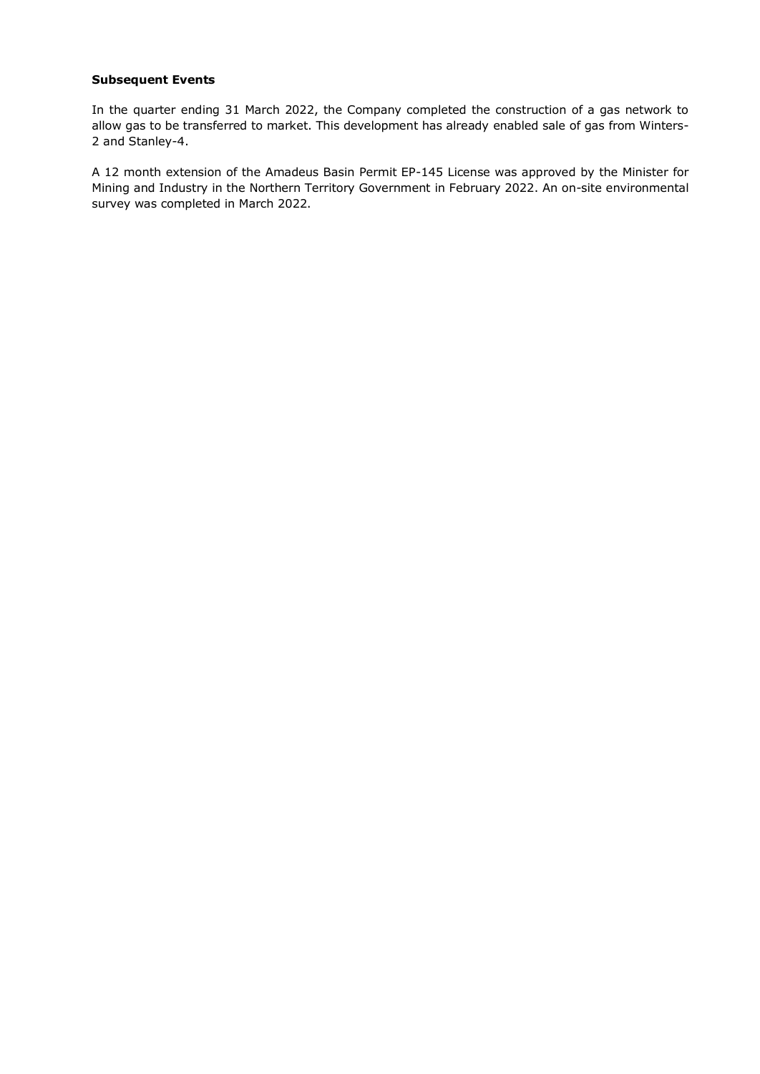### **Subsequent Events**

In the quarter ending 31 March 2022, the Company completed the construction of a gas network to allow gas to be transferred to market. This development has already enabled sale of gas from Winters-2 and Stanley-4.

A 12 month extension of the Amadeus Basin Permit EP-145 License was approved by the Minister for Mining and Industry in the Northern Territory Government in February 2022. An on-site environmental survey was completed in March 2022.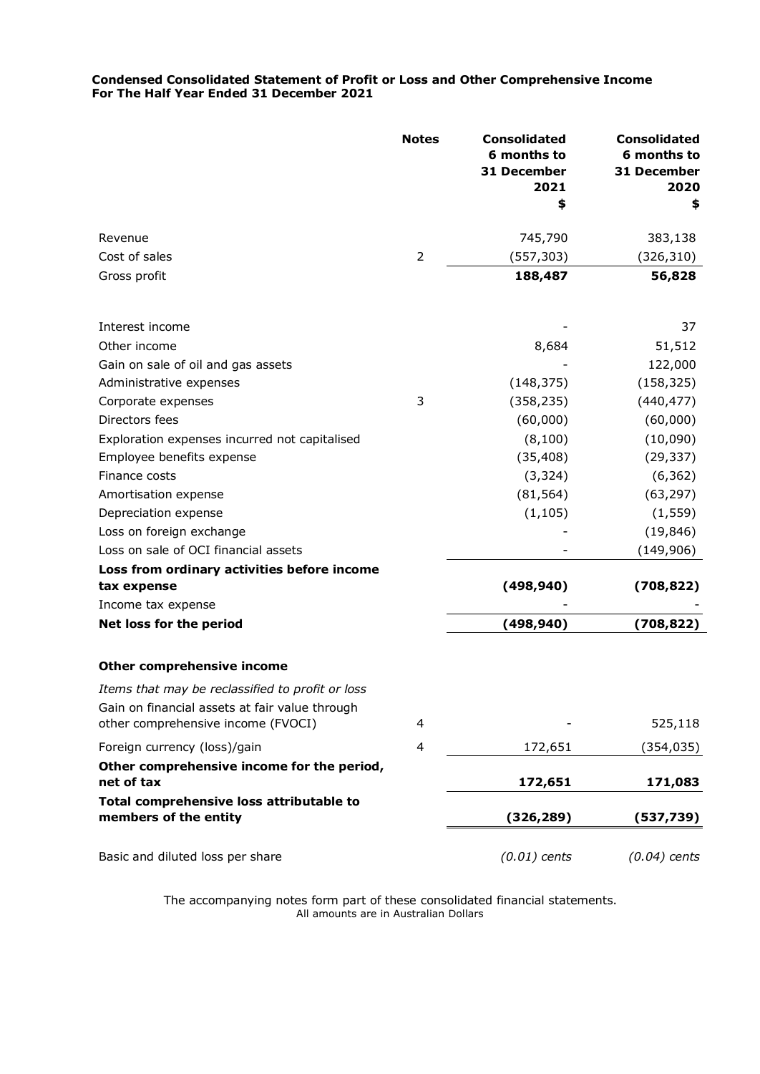### **Condensed Consolidated Statement of Profit or Loss and Other Comprehensive Income For The Half Year Ended 31 December 2021**

|                                                                                                    | <b>Notes</b>   | <b>Consolidated</b><br>6 months to<br>31 December<br>2021<br>\$ | <b>Consolidated</b><br>6 months to<br>31 December<br>2020<br>\$ |
|----------------------------------------------------------------------------------------------------|----------------|-----------------------------------------------------------------|-----------------------------------------------------------------|
| Revenue                                                                                            |                | 745,790                                                         | 383,138                                                         |
| Cost of sales                                                                                      | $\overline{2}$ | (557, 303)                                                      | (326, 310)                                                      |
| Gross profit                                                                                       |                | 188,487                                                         | 56,828                                                          |
| Interest income                                                                                    |                |                                                                 | 37                                                              |
| Other income                                                                                       |                | 8,684                                                           | 51,512                                                          |
| Gain on sale of oil and gas assets                                                                 |                |                                                                 | 122,000                                                         |
| Administrative expenses                                                                            |                | (148, 375)                                                      | (158, 325)                                                      |
| Corporate expenses                                                                                 | 3              | (358, 235)                                                      | (440, 477)                                                      |
| Directors fees                                                                                     |                | (60,000)                                                        | (60,000)                                                        |
| Exploration expenses incurred not capitalised                                                      |                | (8, 100)                                                        | (10,090)                                                        |
| Employee benefits expense                                                                          |                | (35, 408)                                                       | (29, 337)                                                       |
| Finance costs                                                                                      |                | (3, 324)                                                        | (6, 362)                                                        |
| Amortisation expense                                                                               |                | (81, 564)                                                       | (63, 297)                                                       |
| Depreciation expense                                                                               |                | (1, 105)                                                        | (1, 559)                                                        |
| Loss on foreign exchange                                                                           |                |                                                                 | (19, 846)                                                       |
| Loss on sale of OCI financial assets                                                               |                |                                                                 | (149, 906)                                                      |
| Loss from ordinary activities before income<br>tax expense                                         |                | (498, 940)                                                      | (708, 822)                                                      |
| Income tax expense                                                                                 |                |                                                                 |                                                                 |
| Net loss for the period                                                                            |                | (498, 940)                                                      | (708, 822)                                                      |
| <b>Other comprehensive income</b>                                                                  |                |                                                                 |                                                                 |
| Items that may be reclassified to profit or loss<br>Gain on financial assets at fair value through |                |                                                                 |                                                                 |
| other comprehensive income (FVOCI)                                                                 | 4              |                                                                 | 525,118                                                         |
| Foreign currency (loss)/gain                                                                       | 4              | 172,651                                                         | (354, 035)                                                      |
| Other comprehensive income for the period,<br>net of tax                                           |                | 172,651                                                         | 171,083                                                         |
| Total comprehensive loss attributable to<br>members of the entity                                  |                | (326, 289)                                                      | (537,739)                                                       |
| Basic and diluted loss per share                                                                   |                | $(0.01)$ cents                                                  | $(0.04)$ cents                                                  |

The accompanying notes form part of these consolidated financial statements. All amounts are in Australian Dollars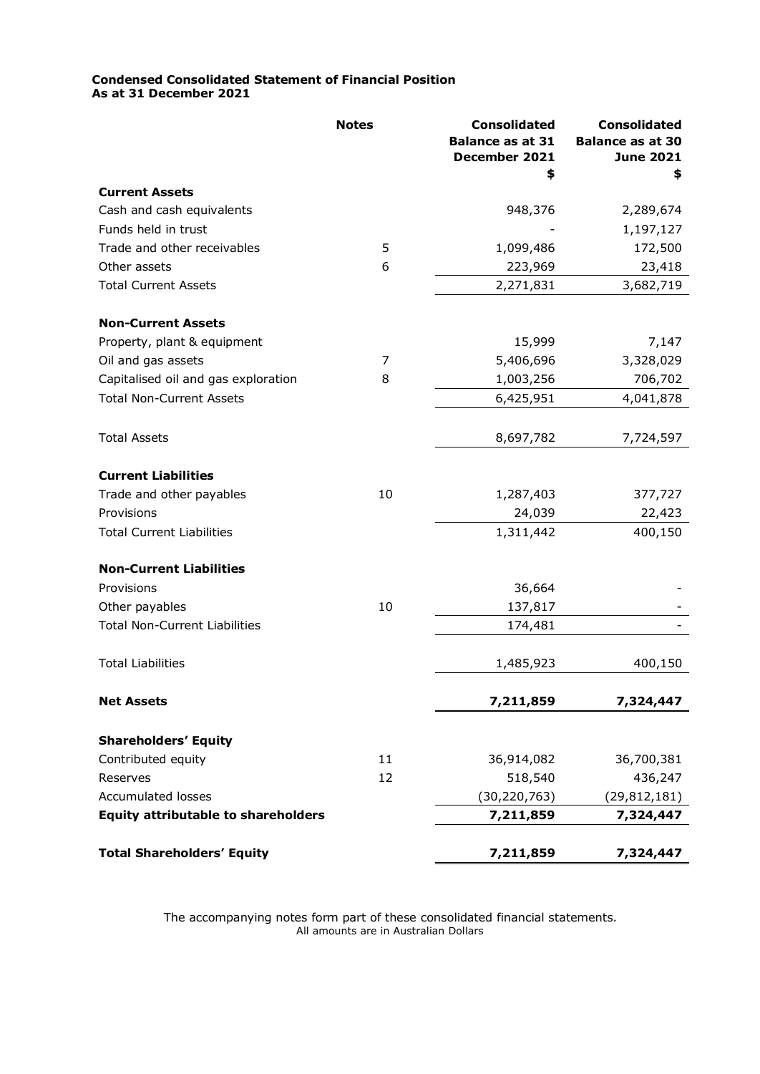### **Condensed Consolidated Statement of Financial Position As at 31 December 2021**

|                                            | <b>Notes</b> | <b>Consolidated</b><br><b>Balance as at 31</b><br>December 2021<br>\$ | <b>Consolidated</b><br><b>Balance as at 30</b><br><b>June 2021</b><br>\$ |
|--------------------------------------------|--------------|-----------------------------------------------------------------------|--------------------------------------------------------------------------|
| <b>Current Assets</b>                      |              |                                                                       |                                                                          |
| Cash and cash equivalents                  |              | 948,376                                                               | 2,289,674                                                                |
| Funds held in trust                        |              |                                                                       | 1,197,127                                                                |
| Trade and other receivables                | 5            | 1,099,486                                                             | 172,500                                                                  |
| Other assets                               | 6            | 223,969                                                               | 23,418                                                                   |
| <b>Total Current Assets</b>                |              | 2,271,831                                                             | 3,682,719                                                                |
| <b>Non-Current Assets</b>                  |              |                                                                       |                                                                          |
| Property, plant & equipment                |              | 15,999                                                                | 7,147                                                                    |
| Oil and gas assets                         | 7            | 5,406,696                                                             | 3,328,029                                                                |
| Capitalised oil and gas exploration        | 8            | 1,003,256                                                             | 706,702                                                                  |
| <b>Total Non-Current Assets</b>            |              | 6,425,951                                                             | 4,041,878                                                                |
| <b>Total Assets</b>                        |              | 8,697,782                                                             | 7,724,597                                                                |
| <b>Current Liabilities</b>                 |              |                                                                       |                                                                          |
| Trade and other payables                   | 10           | 1,287,403                                                             | 377,727                                                                  |
| Provisions                                 |              | 24,039                                                                | 22,423                                                                   |
| <b>Total Current Liabilities</b>           |              | 1,311,442                                                             | 400,150                                                                  |
| <b>Non-Current Liabilities</b>             |              |                                                                       |                                                                          |
| Provisions                                 |              | 36,664                                                                |                                                                          |
| Other payables                             | 10           | 137,817                                                               |                                                                          |
| <b>Total Non-Current Liabilities</b>       |              | 174,481                                                               |                                                                          |
| <b>Total Liabilities</b>                   |              | 1,485,923                                                             | 400,150                                                                  |
| <b>Net Assets</b>                          |              | 7,211,859                                                             | 7,324,447                                                                |
| <b>Shareholders' Equity</b>                |              |                                                                       |                                                                          |
| Contributed equity                         | 11           | 36,914,082                                                            | 36,700,381                                                               |
| Reserves                                   | 12           | 518,540                                                               | 436,247                                                                  |
| <b>Accumulated losses</b>                  |              | (30, 220, 763)                                                        | (29, 812, 181)                                                           |
| <b>Equity attributable to shareholders</b> |              | 7,211,859                                                             | 7,324,447                                                                |
| <b>Total Shareholders' Equity</b>          |              | 7,211,859                                                             | 7,324,447                                                                |

The accompanying notes form part of these consolidated financial statements. All amounts are in Australian Dollars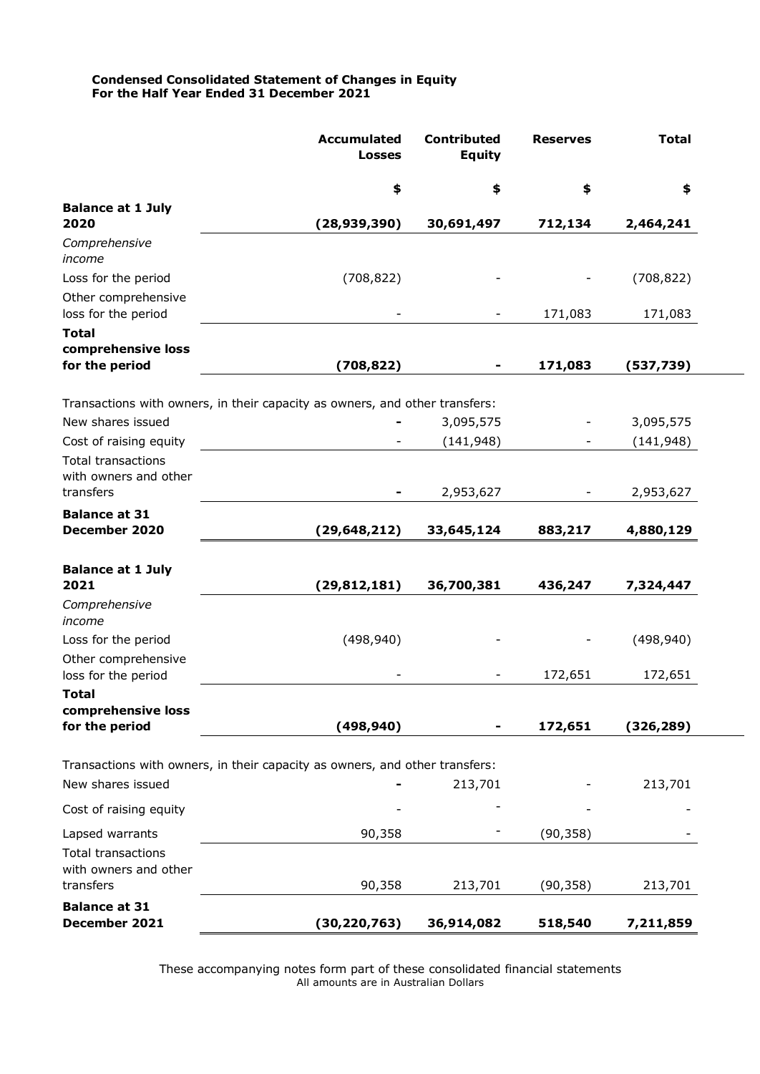### **Condensed Consolidated Statement of Changes in Equity For the Half Year Ended 31 December 2021**

|                                                      | <b>Accumulated</b><br><b>Losses</b>                                         | <b>Contributed</b><br><b>Equity</b> | <b>Reserves</b> | <b>Total</b> |  |
|------------------------------------------------------|-----------------------------------------------------------------------------|-------------------------------------|-----------------|--------------|--|
|                                                      | \$                                                                          | \$                                  | \$              | \$           |  |
| <b>Balance at 1 July</b><br>2020                     | (28, 939, 390)                                                              | 30,691,497                          | 712,134         | 2,464,241    |  |
| Comprehensive<br>income                              |                                                                             |                                     |                 |              |  |
| Loss for the period                                  | (708, 822)                                                                  |                                     |                 | (708, 822)   |  |
| Other comprehensive<br>loss for the period           |                                                                             |                                     | 171,083         | 171,083      |  |
| <b>Total</b><br>comprehensive loss<br>for the period | (708, 822)                                                                  |                                     | 171,083         | (537, 739)   |  |
|                                                      |                                                                             |                                     |                 |              |  |
|                                                      | Transactions with owners, in their capacity as owners, and other transfers: |                                     |                 |              |  |
| New shares issued                                    |                                                                             | 3,095,575                           |                 | 3,095,575    |  |
| Cost of raising equity                               |                                                                             | (141, 948)                          |                 | (141, 948)   |  |
| <b>Total transactions</b><br>with owners and other   |                                                                             |                                     |                 |              |  |
| transfers                                            |                                                                             | 2,953,627                           | Ξ.              | 2,953,627    |  |
| <b>Balance at 31</b><br>December 2020                | (29, 648, 212)                                                              | 33,645,124                          | 883,217         | 4,880,129    |  |
| <b>Balance at 1 July</b><br>2021                     | (29, 812, 181)                                                              | 36,700,381                          | 436,247         | 7,324,447    |  |
| Comprehensive<br>income                              |                                                                             |                                     |                 |              |  |
| Loss for the period                                  | (498, 940)                                                                  |                                     |                 | (498, 940)   |  |
| Other comprehensive<br>loss for the period           |                                                                             |                                     | 172,651         | 172,651      |  |
| <b>Total</b>                                         |                                                                             |                                     |                 |              |  |
| comprehensive loss<br>for the period                 | (498, 940)                                                                  |                                     | 172,651         | (326, 289)   |  |
|                                                      |                                                                             |                                     |                 |              |  |
| New shares issued                                    | Transactions with owners, in their capacity as owners, and other transfers: | 213,701                             |                 | 213,701      |  |
| Cost of raising equity                               |                                                                             |                                     |                 |              |  |
| Lapsed warrants                                      | 90,358                                                                      |                                     | (90, 358)       |              |  |
| <b>Total transactions</b><br>with owners and other   |                                                                             |                                     |                 |              |  |
| transfers                                            | 90,358                                                                      | 213,701                             | (90, 358)       | 213,701      |  |
| <b>Balance at 31</b><br>December 2021                | (30, 220, 763)                                                              | 36,914,082                          | 518,540         | 7,211,859    |  |

These accompanying notes form part of these consolidated financial statements All amounts are in Australian Dollars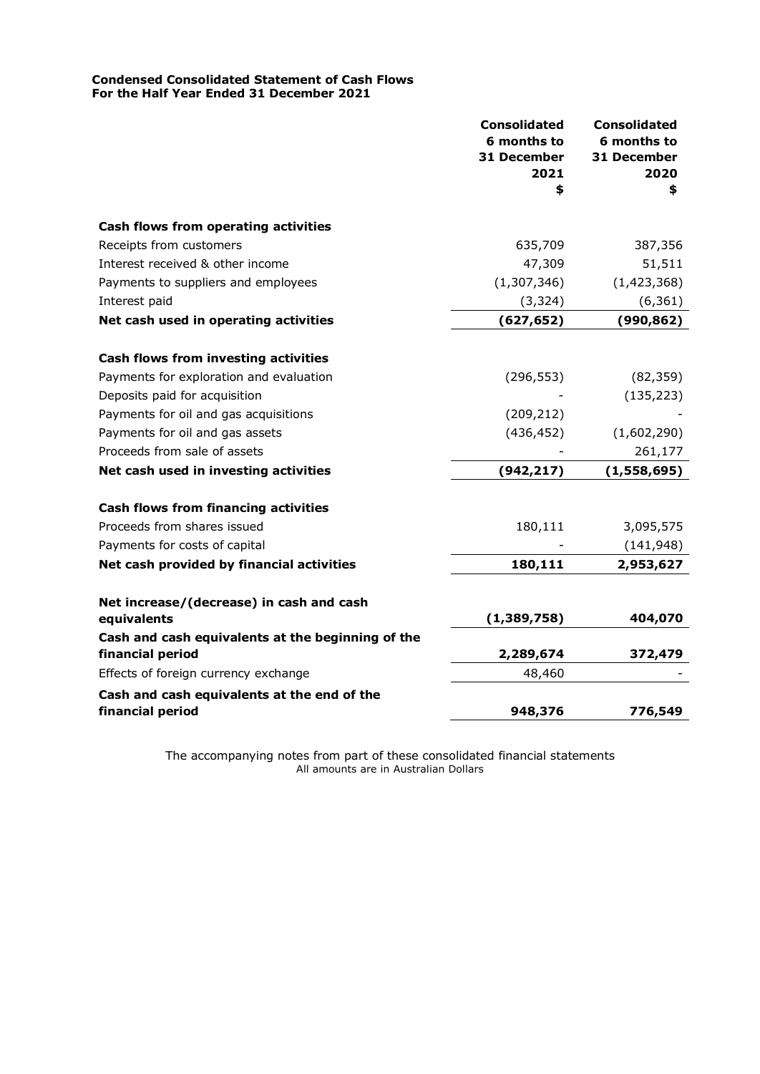### **Condensed Consolidated Statement of Cash Flows For the Half Year Ended 31 December 2021**

|                                                         | <b>Consolidated</b><br>6 months to<br>31 December<br>2021 | <b>Consolidated</b><br>6 months to<br>31 December<br>2020 |
|---------------------------------------------------------|-----------------------------------------------------------|-----------------------------------------------------------|
|                                                         | \$                                                        | \$                                                        |
| Cash flows from operating activities                    |                                                           |                                                           |
| Receipts from customers                                 | 635,709                                                   | 387,356                                                   |
| Interest received & other income                        | 47,309                                                    | 51,511                                                    |
| Payments to suppliers and employees                     | (1,307,346)                                               | (1, 423, 368)                                             |
| Interest paid                                           | (3, 324)                                                  | (6, 361)                                                  |
| Net cash used in operating activities                   | (627, 652)                                                | (990, 862)                                                |
|                                                         |                                                           |                                                           |
| Cash flows from investing activities                    |                                                           |                                                           |
| Payments for exploration and evaluation                 | (296, 553)                                                | (82, 359)                                                 |
| Deposits paid for acquisition                           |                                                           | (135, 223)                                                |
| Payments for oil and gas acquisitions                   | (209, 212)                                                |                                                           |
| Payments for oil and gas assets                         | (436, 452)                                                | (1,602,290)                                               |
| Proceeds from sale of assets                            |                                                           | 261,177                                                   |
| Net cash used in investing activities                   | (942, 217)                                                | (1,558,695)                                               |
| <b>Cash flows from financing activities</b>             |                                                           |                                                           |
| Proceeds from shares issued                             | 180,111                                                   | 3,095,575                                                 |
| Payments for costs of capital                           |                                                           | (141, 948)                                                |
| Net cash provided by financial activities               | 180,111                                                   | 2,953,627                                                 |
|                                                         |                                                           |                                                           |
| Net increase/(decrease) in cash and cash<br>equivalents | (1,389,758)                                               | 404,070                                                   |
| Cash and cash equivalents at the beginning of the       |                                                           |                                                           |
| financial period                                        | 2,289,674                                                 | 372,479                                                   |
| Effects of foreign currency exchange                    | 48,460                                                    |                                                           |
| Cash and cash equivalents at the end of the             |                                                           |                                                           |
| financial period                                        | 948,376                                                   | 776,549                                                   |

The accompanying notes from part of these consolidated financial statements All amounts are in Australian Dollars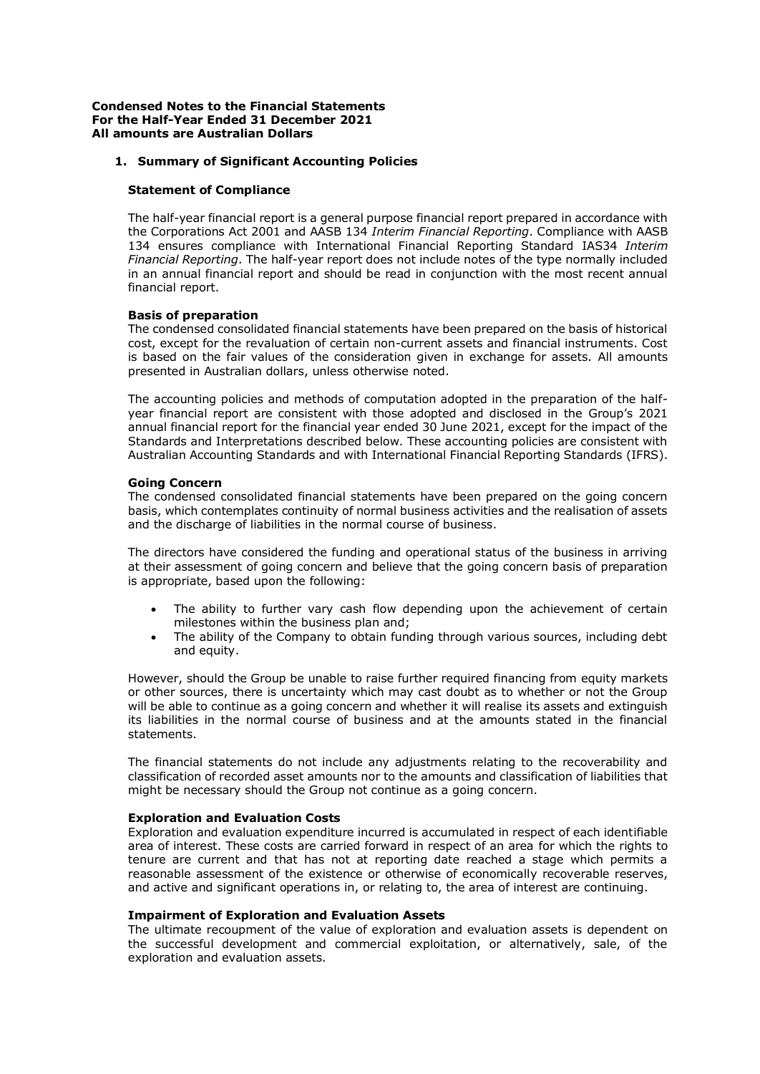# **1. Summary of Significant Accounting Policies**

### **Statement of Compliance**

The half-year financial report is a general purpose financial report prepared in accordance with the Corporations Act 2001 and AASB 134 *Interim Financial Reporting*. Compliance with AASB 134 ensures compliance with International Financial Reporting Standard IAS34 *Interim Financial Reporting*. The half-year report does not include notes of the type normally included in an annual financial report and should be read in conjunction with the most recent annual financial report.

### **Basis of preparation**

The condensed consolidated financial statements have been prepared on the basis of historical cost, except for the revaluation of certain non-current assets and financial instruments. Cost is based on the fair values of the consideration given in exchange for assets. All amounts presented in Australian dollars, unless otherwise noted.

The accounting policies and methods of computation adopted in the preparation of the halfyear financial report are consistent with those adopted and disclosed in the Group's 2021 annual financial report for the financial year ended 30 June 2021, except for the impact of the Standards and Interpretations described below. These accounting policies are consistent with Australian Accounting Standards and with International Financial Reporting Standards (IFRS).

### **Going Concern**

The condensed consolidated financial statements have been prepared on the going concern basis, which contemplates continuity of normal business activities and the realisation of assets and the discharge of liabilities in the normal course of business.

The directors have considered the funding and operational status of the business in arriving at their assessment of going concern and believe that the going concern basis of preparation is appropriate, based upon the following:

- The ability to further vary cash flow depending upon the achievement of certain milestones within the business plan and;
- The ability of the Company to obtain funding through various sources, including debt and equity.

However, should the Group be unable to raise further required financing from equity markets or other sources, there is uncertainty which may cast doubt as to whether or not the Group will be able to continue as a going concern and whether it will realise its assets and extinguish its liabilities in the normal course of business and at the amounts stated in the financial statements.

The financial statements do not include any adjustments relating to the recoverability and classification of recorded asset amounts nor to the amounts and classification of liabilities that might be necessary should the Group not continue as a going concern.

#### **Exploration and Evaluation Costs**

Exploration and evaluation expenditure incurred is accumulated in respect of each identifiable area of interest. These costs are carried forward in respect of an area for which the rights to tenure are current and that has not at reporting date reached a stage which permits a reasonable assessment of the existence or otherwise of economically recoverable reserves, and active and significant operations in, or relating to, the area of interest are continuing.

#### **Impairment of Exploration and Evaluation Assets**

The ultimate recoupment of the value of exploration and evaluation assets is dependent on the successful development and commercial exploitation, or alternatively, sale, of the exploration and evaluation assets.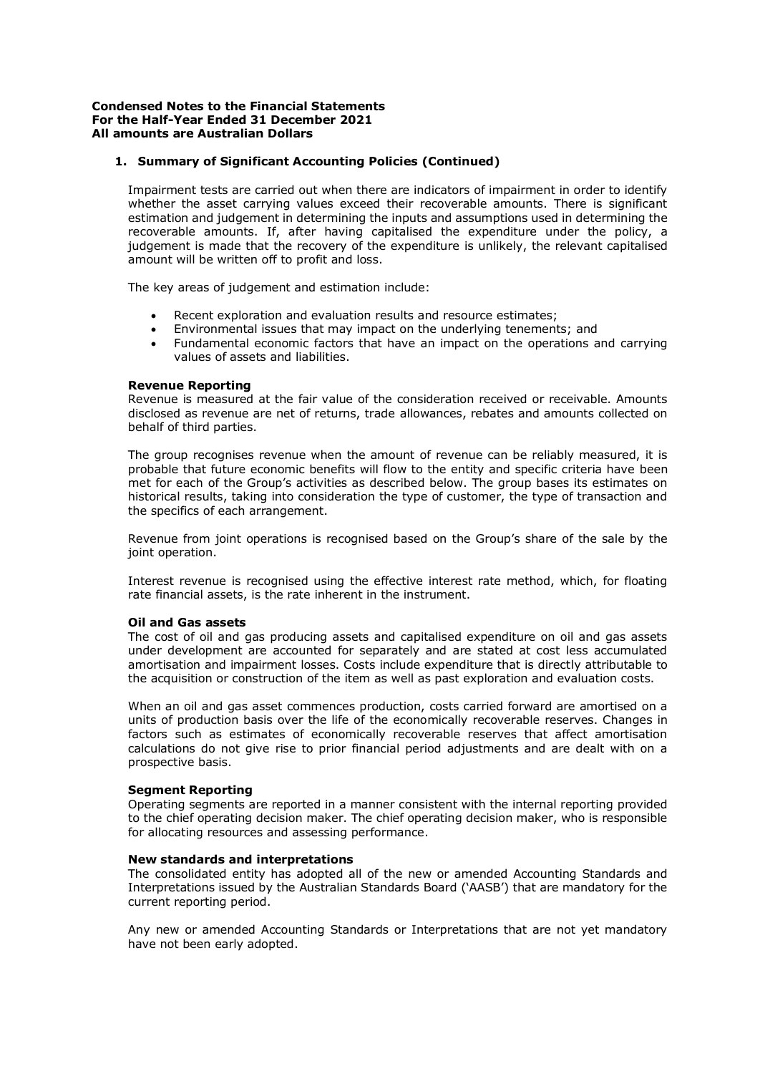## **1. Summary of Significant Accounting Policies (Continued)**

Impairment tests are carried out when there are indicators of impairment in order to identify whether the asset carrying values exceed their recoverable amounts. There is significant estimation and judgement in determining the inputs and assumptions used in determining the recoverable amounts. If, after having capitalised the expenditure under the policy, a judgement is made that the recovery of the expenditure is unlikely, the relevant capitalised amount will be written off to profit and loss.

The key areas of judgement and estimation include:

- Recent exploration and evaluation results and resource estimates;
- Environmental issues that may impact on the underlying tenements; and
- Fundamental economic factors that have an impact on the operations and carrying values of assets and liabilities.

#### **Revenue Reporting**

Revenue is measured at the fair value of the consideration received or receivable. Amounts disclosed as revenue are net of returns, trade allowances, rebates and amounts collected on behalf of third parties.

The group recognises revenue when the amount of revenue can be reliably measured, it is probable that future economic benefits will flow to the entity and specific criteria have been met for each of the Group's activities as described below. The group bases its estimates on historical results, taking into consideration the type of customer, the type of transaction and the specifics of each arrangement.

Revenue from joint operations is recognised based on the Group's share of the sale by the joint operation.

Interest revenue is recognised using the effective interest rate method, which, for floating rate financial assets, is the rate inherent in the instrument.

#### **Oil and Gas assets**

The cost of oil and gas producing assets and capitalised expenditure on oil and gas assets under development are accounted for separately and are stated at cost less accumulated amortisation and impairment losses. Costs include expenditure that is directly attributable to the acquisition or construction of the item as well as past exploration and evaluation costs.

When an oil and gas asset commences production, costs carried forward are amortised on a units of production basis over the life of the economically recoverable reserves. Changes in factors such as estimates of economically recoverable reserves that affect amortisation calculations do not give rise to prior financial period adjustments and are dealt with on a prospective basis.

#### **Segment Reporting**

Operating segments are reported in a manner consistent with the internal reporting provided to the chief operating decision maker. The chief operating decision maker, who is responsible for allocating resources and assessing performance.

#### **New standards and interpretations**

The consolidated entity has adopted all of the new or amended Accounting Standards and Interpretations issued by the Australian Standards Board ('AASB') that are mandatory for the current reporting period.

Any new or amended Accounting Standards or Interpretations that are not yet mandatory have not been early adopted.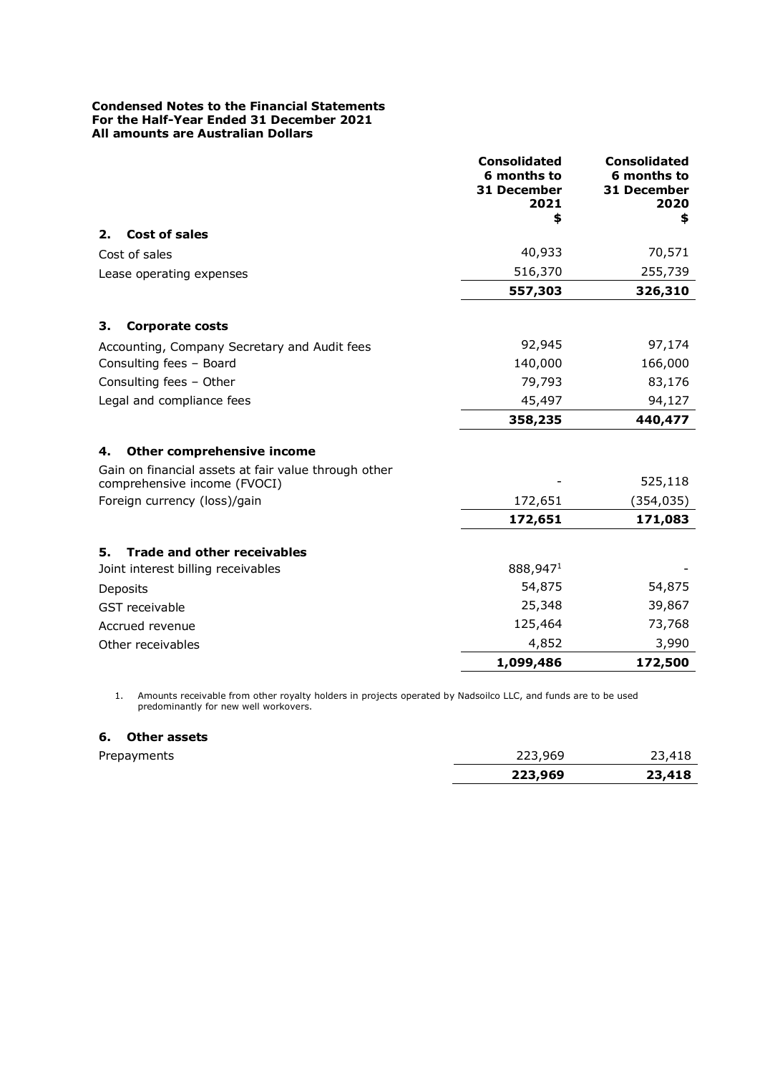|                                                      | <b>Consolidated</b><br>6 months to<br>31 December<br>2021<br>\$ | <b>Consolidated</b><br>6 months to<br><b>31 December</b><br>2020<br>\$ |
|------------------------------------------------------|-----------------------------------------------------------------|------------------------------------------------------------------------|
| <b>Cost of sales</b><br>2.                           |                                                                 |                                                                        |
| Cost of sales                                        | 40,933                                                          | 70,571                                                                 |
| Lease operating expenses                             | 516,370                                                         | 255,739                                                                |
|                                                      | 557,303                                                         | 326,310                                                                |
| 3.<br><b>Corporate costs</b>                         |                                                                 |                                                                        |
| Accounting, Company Secretary and Audit fees         | 92,945                                                          | 97,174                                                                 |
| Consulting fees - Board                              | 140,000                                                         | 166,000                                                                |
| Consulting fees - Other                              | 79,793                                                          | 83,176                                                                 |
| Legal and compliance fees                            | 45,497                                                          | 94,127                                                                 |
|                                                      | 358,235                                                         | 440,477                                                                |
| Other comprehensive income<br>4.                     |                                                                 |                                                                        |
| Gain on financial assets at fair value through other |                                                                 |                                                                        |
| comprehensive income (FVOCI)                         |                                                                 | 525,118                                                                |
| Foreign currency (loss)/gain                         | 172,651                                                         | (354, 035)                                                             |
|                                                      | 172,651                                                         | 171,083                                                                |
| <b>Trade and other receivables</b><br>5.             |                                                                 |                                                                        |
| Joint interest billing receivables                   | 888,9471                                                        |                                                                        |
| Deposits                                             | 54,875                                                          | 54,875                                                                 |
| GST receivable                                       | 25,348                                                          | 39,867                                                                 |
| Accrued revenue                                      | 125,464                                                         | 73,768                                                                 |
| Other receivables                                    | 4,852                                                           | 3,990                                                                  |
|                                                      | 1,099,486                                                       | 172,500                                                                |

1. Amounts receivable from other royalty holders in projects operated by Nadsoilco LLC, and funds are to be used predominantly for new well workovers.

# **6. Other assets**

|             | 223,969 | 23,418 |
|-------------|---------|--------|
| Prepayments | 223,969 | 23,418 |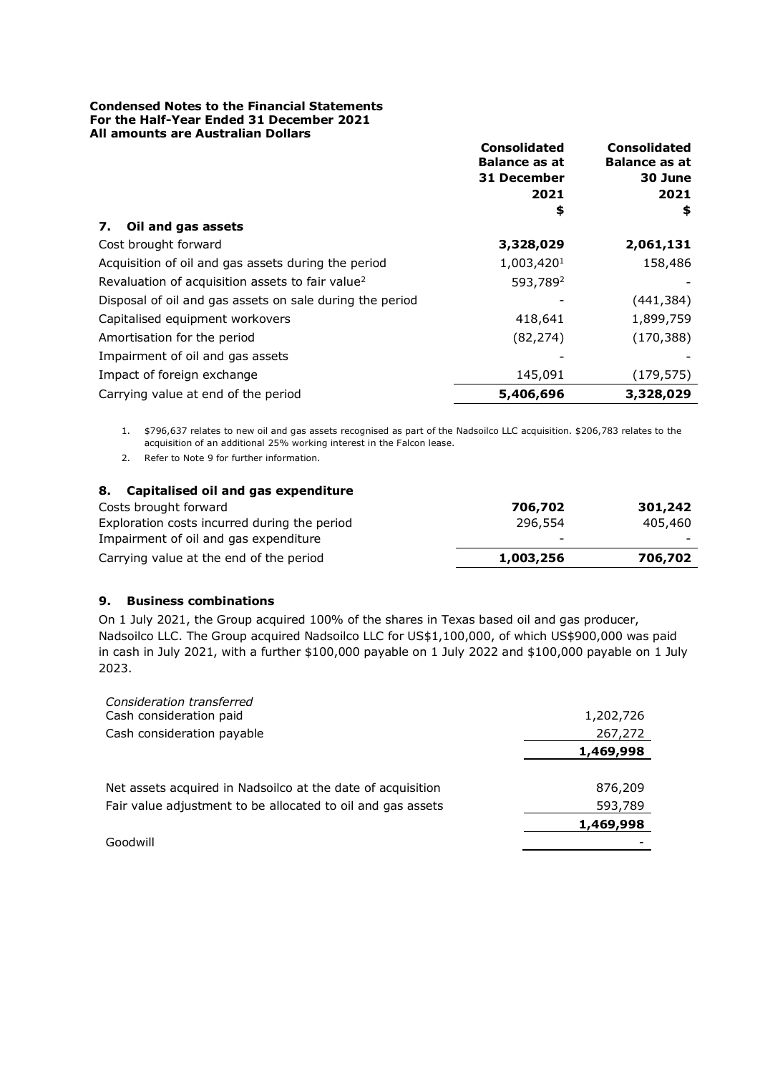|                                                              | <b>Consolidated</b><br><b>Balance as at</b><br>31 December<br>2021 | <b>Consolidated</b><br><b>Balance as at</b><br>30 June<br>2021 |
|--------------------------------------------------------------|--------------------------------------------------------------------|----------------------------------------------------------------|
|                                                              | \$                                                                 | \$                                                             |
| Oil and gas assets<br>7.                                     |                                                                    |                                                                |
| Cost brought forward                                         | 3,328,029                                                          | 2,061,131                                                      |
| Acquisition of oil and gas assets during the period          | 1,003,420 <sup>1</sup>                                             | 158,486                                                        |
| Revaluation of acquisition assets to fair value <sup>2</sup> | 593,789 <sup>2</sup>                                               |                                                                |
| Disposal of oil and gas assets on sale during the period     |                                                                    | (441, 384)                                                     |
| Capitalised equipment workovers                              | 418,641                                                            | 1,899,759                                                      |
| Amortisation for the period                                  | (82, 274)                                                          | (170, 388)                                                     |
| Impairment of oil and gas assets                             |                                                                    |                                                                |
| Impact of foreign exchange                                   | 145,091                                                            | (179, 575)                                                     |
| Carrying value at end of the period                          | 5,406,696                                                          | 3,328,029                                                      |

1. \$796,637 relates to new oil and gas assets recognised as part of the Nadsoilco LLC acquisition. \$206,783 relates to the acquisition of an additional 25% working interest in the Falcon lease.

2. Refer to Note 9 for further information.

# **8. Capitalised oil and gas expenditure** Costs brought forward **706,702 301,242** Exploration costs incurred during the period 296,554 405,460 Impairment of oil and gas expenditure Carrying value at the end of the period **1,003,256 706,702**

# **9. Business combinations**

On 1 July 2021, the Group acquired 100% of the shares in Texas based oil and gas producer, Nadsoilco LLC. The Group acquired Nadsoilco LLC for US\$1,100,000, of which US\$900,000 was paid in cash in July 2021, with a further \$100,000 payable on 1 July 2022 and \$100,000 payable on 1 July 2023.

| Consideration transferred                                   |           |
|-------------------------------------------------------------|-----------|
| Cash consideration paid                                     | 1,202,726 |
| Cash consideration payable                                  | 267,272   |
|                                                             | 1,469,998 |
|                                                             |           |
| Net assets acquired in Nadsoilco at the date of acquisition | 876,209   |
| Fair value adjustment to be allocated to oil and gas assets | 593,789   |
|                                                             | 1,469,998 |
| Goodwill                                                    |           |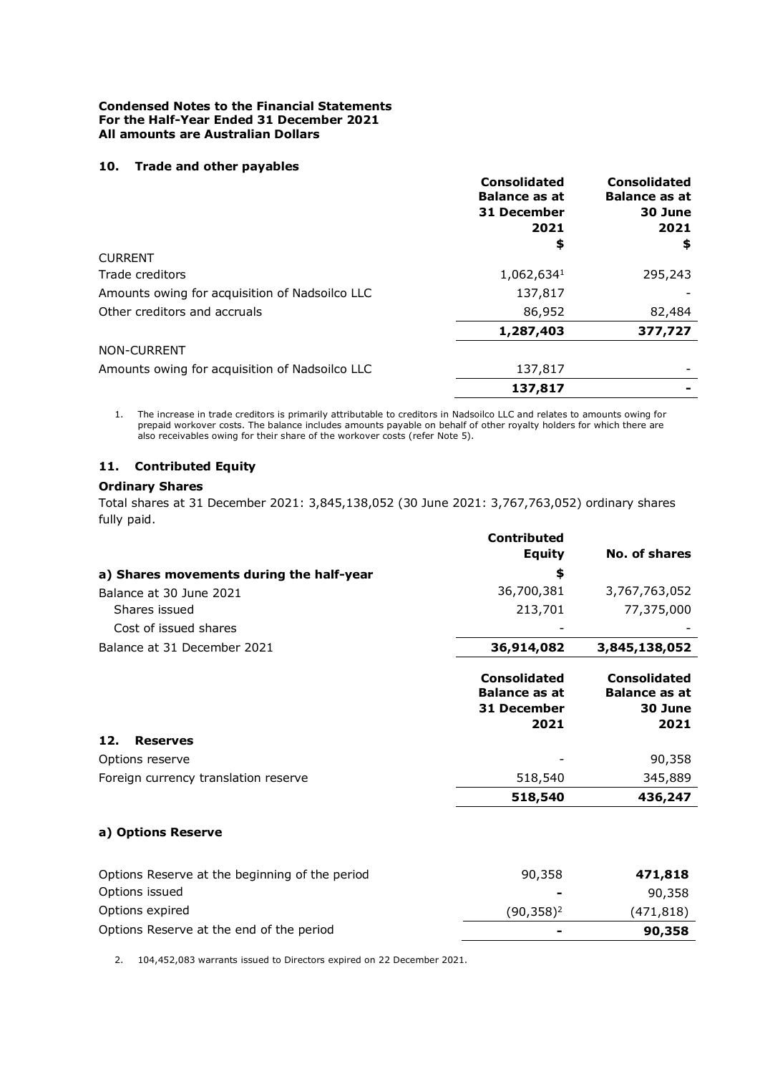### **10. Trade and other payables**

|                                                | <b>Consolidated</b><br><b>Balance as at</b> | <b>Consolidated</b><br><b>Balance as at</b> |
|------------------------------------------------|---------------------------------------------|---------------------------------------------|
|                                                | 31 December                                 | 30 June                                     |
|                                                | 2021                                        | 2021                                        |
|                                                | \$                                          | \$                                          |
| CURRENT                                        |                                             |                                             |
| Trade creditors                                | 1,062,6341                                  | 295,243                                     |
| Amounts owing for acquisition of Nadsoilco LLC | 137,817                                     |                                             |
| Other creditors and accruals                   | 86,952                                      | 82,484                                      |
|                                                | 1,287,403                                   | 377,727                                     |
| <b>NON-CURRENT</b>                             |                                             |                                             |
| Amounts owing for acquisition of Nadsoilco LLC | 137,817                                     |                                             |
|                                                | 137,817                                     |                                             |

1. The increase in trade creditors is primarily attributable to creditors in Nadsoilco LLC and relates to amounts owing for prepaid workover costs. The balance includes amounts payable on behalf of other royalty holders for which there are also receivables owing for their share of the workover costs (refer Note 5).

# **11. Contributed Equity**

# **Ordinary Shares**

Total shares at 31 December 2021: 3,845,138,052 (30 June 2021: 3,767,763,052) ordinary shares fully paid.

|                                                | <b>Contributed</b>                                                        |                                                                |
|------------------------------------------------|---------------------------------------------------------------------------|----------------------------------------------------------------|
|                                                | <b>Equity</b>                                                             | No. of shares                                                  |
| a) Shares movements during the half-year       | \$                                                                        |                                                                |
| Balance at 30 June 2021                        | 36,700,381                                                                | 3,767,763,052                                                  |
| Shares issued                                  | 213,701                                                                   | 77,375,000                                                     |
| Cost of issued shares                          |                                                                           |                                                                |
| Balance at 31 December 2021                    | 36,914,082                                                                | 3,845,138,052                                                  |
|                                                | <b>Consolidated</b><br><b>Balance as at</b><br><b>31 December</b><br>2021 | <b>Consolidated</b><br><b>Balance as at</b><br>30 June<br>2021 |
| 12.<br><b>Reserves</b>                         |                                                                           |                                                                |
| Options reserve                                |                                                                           | 90,358                                                         |
| Foreign currency translation reserve           | 518,540                                                                   | 345,889                                                        |
|                                                | 518,540                                                                   | 436,247                                                        |
| a) Options Reserve                             |                                                                           |                                                                |
| Options Reserve at the beginning of the period | 90,358                                                                    | 471,818                                                        |
| Options issued                                 |                                                                           | 90,358                                                         |
| Options expired                                | $(90, 358)^2$                                                             | (471, 818)                                                     |
| Options Reserve at the end of the period       |                                                                           | 90,358                                                         |

2. 104,452,083 warrants issued to Directors expired on 22 December 2021.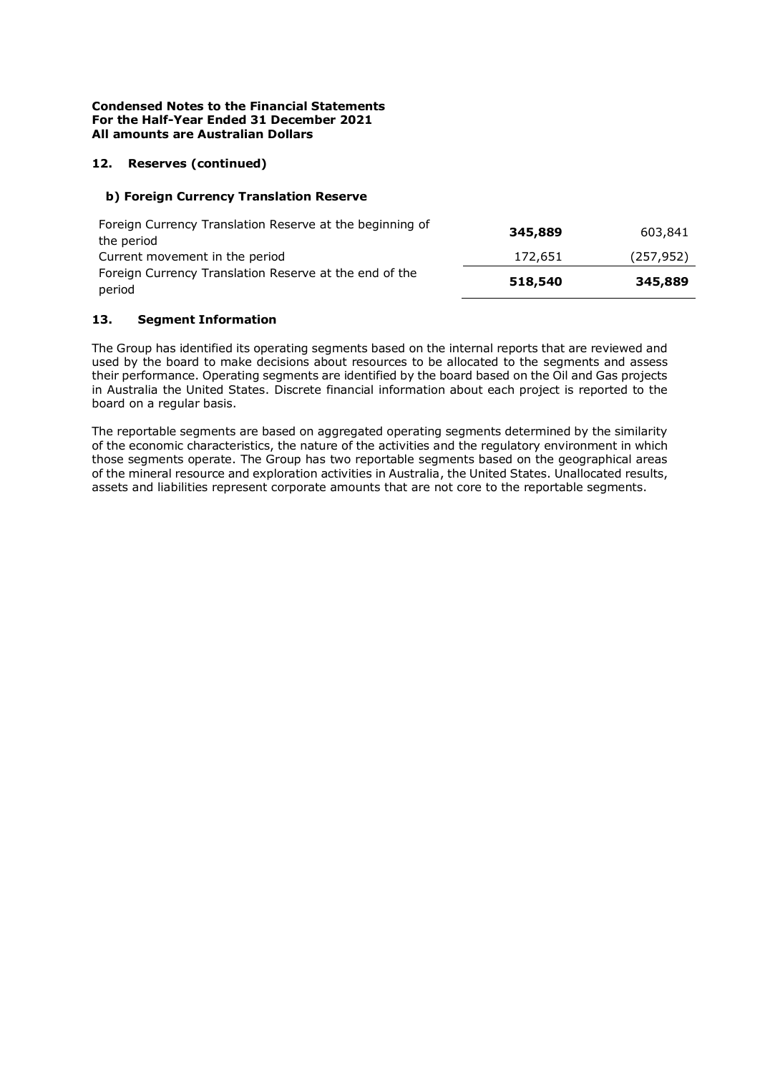# **12. Reserves (continued)**

### **b) Foreign Currency Translation Reserve**

| Foreign Currency Translation Reserve at the beginning of | 345,889 | 603,841    |
|----------------------------------------------------------|---------|------------|
| the period                                               |         |            |
| Current movement in the period                           | 172,651 | (257, 952) |
| Foreign Currency Translation Reserve at the end of the   | 518,540 |            |
| period                                                   |         | 345,889    |

### **13. Segment Information**

The Group has identified its operating segments based on the internal reports that are reviewed and used by the board to make decisions about resources to be allocated to the segments and assess their performance. Operating segments are identified by the board based on the Oil and Gas projects in Australia the United States. Discrete financial information about each project is reported to the board on a regular basis.

The reportable segments are based on aggregated operating segments determined by the similarity of the economic characteristics, the nature of the activities and the regulatory environment in which those segments operate. The Group has two reportable segments based on the geographical areas of the mineral resource and exploration activities in Australia, the United States. Unallocated results, assets and liabilities represent corporate amounts that are not core to the reportable segments.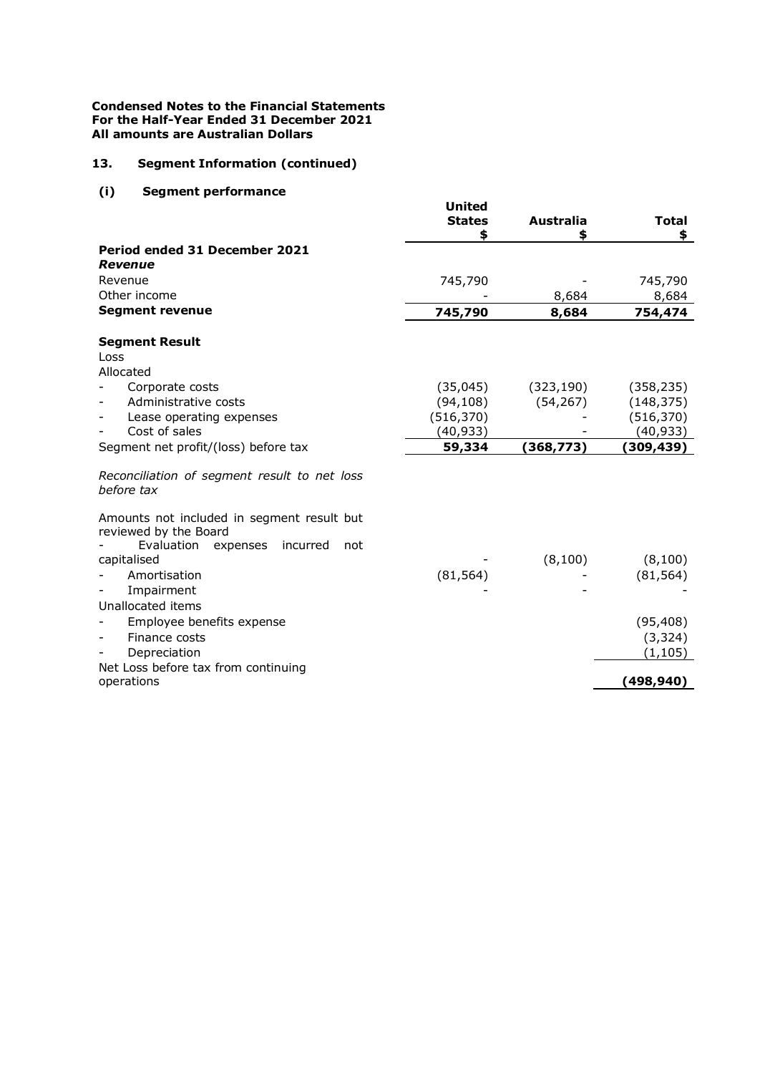# **13. Segment Information (continued)**

# **(i) Segment performance**

|                                                            | <b>United</b><br><b>States</b><br>\$ | <b>Australia</b><br>\$ | <b>Total</b><br>\$ |
|------------------------------------------------------------|--------------------------------------|------------------------|--------------------|
| Period ended 31 December 2021<br><b>Revenue</b>            |                                      |                        |                    |
| Revenue                                                    | 745,790                              |                        | 745,790            |
| Other income                                               |                                      | 8,684                  | 8,684              |
| <b>Segment revenue</b>                                     | 745,790                              | 8,684                  | 754,474            |
| <b>Segment Result</b>                                      |                                      |                        |                    |
| Loss                                                       |                                      |                        |                    |
| Allocated                                                  |                                      |                        |                    |
| Corporate costs                                            | (35,045)                             | (323, 190)             | (358, 235)         |
| Administrative costs                                       | (94, 108)                            | (54, 267)              | (148, 375)         |
| Lease operating expenses                                   | (516, 370)                           |                        | (516, 370)         |
| Cost of sales                                              | (40, 933)                            |                        | (40, 933)          |
| Segment net profit/(loss) before tax                       | 59,334                               | (368, 773)             | (309, 439)         |
| Reconciliation of segment result to net loss<br>before tax |                                      |                        |                    |
| Amounts not included in segment result but                 |                                      |                        |                    |
| reviewed by the Board                                      |                                      |                        |                    |
| Evaluation expenses<br>incurred<br>not<br>capitalised      |                                      | (8, 100)               | (8,100)            |
| Amortisation                                               |                                      |                        |                    |
|                                                            | (81, 564)                            |                        | (81, 564)          |
| Impairment                                                 |                                      |                        |                    |
| Unallocated items                                          |                                      |                        |                    |
| Employee benefits expense                                  |                                      |                        | (95, 408)          |
| Finance costs<br>$\overline{\phantom{a}}$                  |                                      |                        | (3, 324)           |
| Depreciation                                               |                                      |                        | (1, 105)           |
| Net Loss before tax from continuing<br>operations          |                                      |                        | (498, 940)         |
|                                                            |                                      |                        |                    |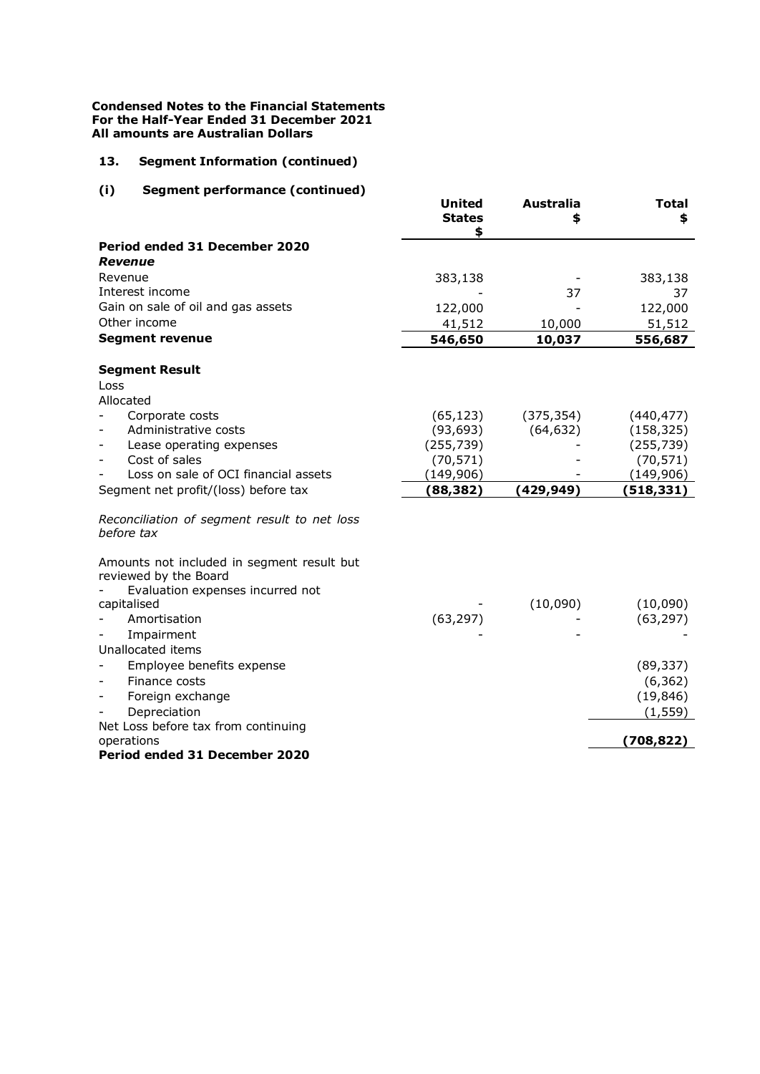# **13. Segment Information (continued)**

# **(i) Segment performance (continued)**

|                                                            | <b>United</b><br><b>States</b><br>\$ | <b>Australia</b><br>S | <b>Total</b><br>\$ |
|------------------------------------------------------------|--------------------------------------|-----------------------|--------------------|
| Period ended 31 December 2020                              |                                      |                       |                    |
| Revenue                                                    |                                      |                       |                    |
| Revenue                                                    | 383,138                              |                       | 383,138            |
| Interest income                                            |                                      | 37                    | 37                 |
| Gain on sale of oil and gas assets<br>Other income         | 122,000                              |                       | 122,000            |
|                                                            | 41,512                               | 10,000                | 51,512             |
| <b>Segment revenue</b>                                     | 546,650                              | 10,037                | 556,687            |
| <b>Segment Result</b>                                      |                                      |                       |                    |
| Loss                                                       |                                      |                       |                    |
| Allocated                                                  |                                      |                       |                    |
| Corporate costs                                            | (65, 123)                            | (375, 354)            | (440, 477)         |
| Administrative costs                                       | (93, 693)                            | (64, 632)             | (158, 325)         |
| Lease operating expenses                                   | (255, 739)                           |                       | (255, 739)         |
| Cost of sales<br>Loss on sale of OCI financial assets      | (70, 571)                            |                       | (70, 571)          |
|                                                            | (149,906)                            | (429, 949)            | (149, 906)         |
| Segment net profit/(loss) before tax                       | (88, 382)                            |                       | (518, 331)         |
| Reconciliation of segment result to net loss<br>before tax |                                      |                       |                    |
| Amounts not included in segment result but                 |                                      |                       |                    |
| reviewed by the Board                                      |                                      |                       |                    |
| Evaluation expenses incurred not                           |                                      |                       |                    |
| capitalised                                                |                                      | (10,090)              | (10,090)           |
| Amortisation                                               | (63, 297)                            |                       | (63, 297)          |
| Impairment                                                 |                                      |                       |                    |
| Unallocated items                                          |                                      |                       |                    |
| Employee benefits expense                                  |                                      |                       | (89, 337)          |
| Finance costs                                              |                                      |                       | (6, 362)           |
| Foreign exchange                                           |                                      |                       | (19, 846)          |
| Depreciation                                               |                                      |                       | (1, 559)           |
| Net Loss before tax from continuing<br>operations          |                                      |                       | (708, 822)         |
| Period ended 31 December 2020                              |                                      |                       |                    |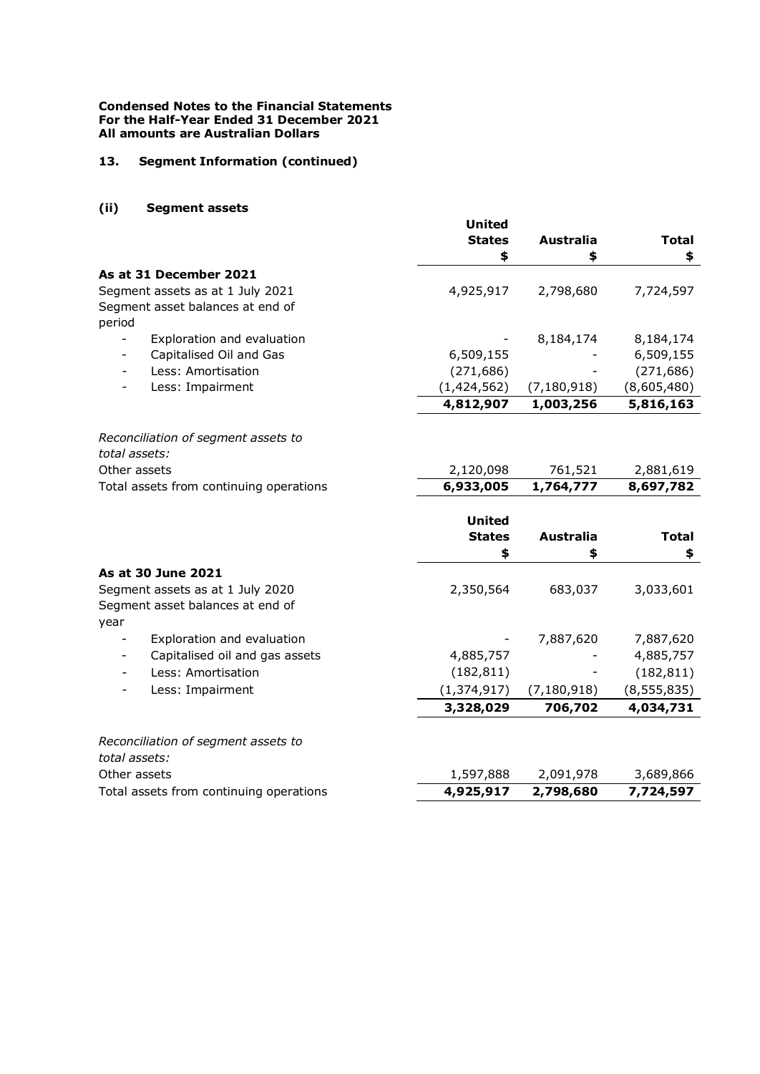## **13. Segment Information (continued)**

## **(ii) Segment assets**

|                                                     | <b>United</b> |                  |               |
|-----------------------------------------------------|---------------|------------------|---------------|
|                                                     | <b>States</b> | <b>Australia</b> | <b>Total</b>  |
|                                                     | \$            | \$               | \$            |
| As at 31 December 2021                              |               |                  |               |
| Segment assets as at 1 July 2021                    | 4,925,917     | 2,798,680        | 7,724,597     |
| Segment asset balances at end of                    |               |                  |               |
| period                                              |               |                  |               |
| Exploration and evaluation                          |               | 8,184,174        | 8,184,174     |
| Capitalised Oil and Gas<br>$\overline{\phantom{0}}$ | 6,509,155     |                  | 6,509,155     |
| Less: Amortisation<br>$\overline{\phantom{a}}$      | (271, 686)    |                  | (271, 686)    |
| Less: Impairment                                    | (1, 424, 562) | (7, 180, 918)    | (8,605,480)   |
|                                                     | 4,812,907     | 1,003,256        | 5,816,163     |
| Reconciliation of segment assets to                 |               |                  |               |
| total assets:                                       |               |                  |               |
| Other assets                                        | 2,120,098     | 761,521          | 2,881,619     |
| Total assets from continuing operations             | 6,933,005     | 1,764,777        | 8,697,782     |
|                                                     |               |                  |               |
|                                                     | <b>United</b> |                  |               |
|                                                     | <b>States</b> | <b>Australia</b> | <b>Total</b>  |
|                                                     | \$            | \$               | \$            |
| As at 30 June 2021                                  |               |                  |               |
| Segment assets as at 1 July 2020                    | 2,350,564     | 683,037          | 3,033,601     |
| Segment asset balances at end of                    |               |                  |               |
| year                                                |               |                  |               |
| Exploration and evaluation                          |               | 7,887,620        | 7,887,620     |
| Capitalised oil and gas assets                      | 4,885,757     |                  | 4,885,757     |
| Less: Amortisation                                  | (182, 811)    |                  | (182, 811)    |
| Less: Impairment                                    | (1, 374, 917) | (7, 180, 918)    | (8, 555, 835) |
|                                                     | 3,328,029     | 706,702          | 4,034,731     |
| Reconciliation of segment assets to                 |               |                  |               |
| total assets:                                       |               |                  |               |
| Other assets                                        | 1,597,888     | 2,091,978        | 3,689,866     |
| Total assets from continuing operations             | 4,925,917     | 2,798,680        | 7,724,597     |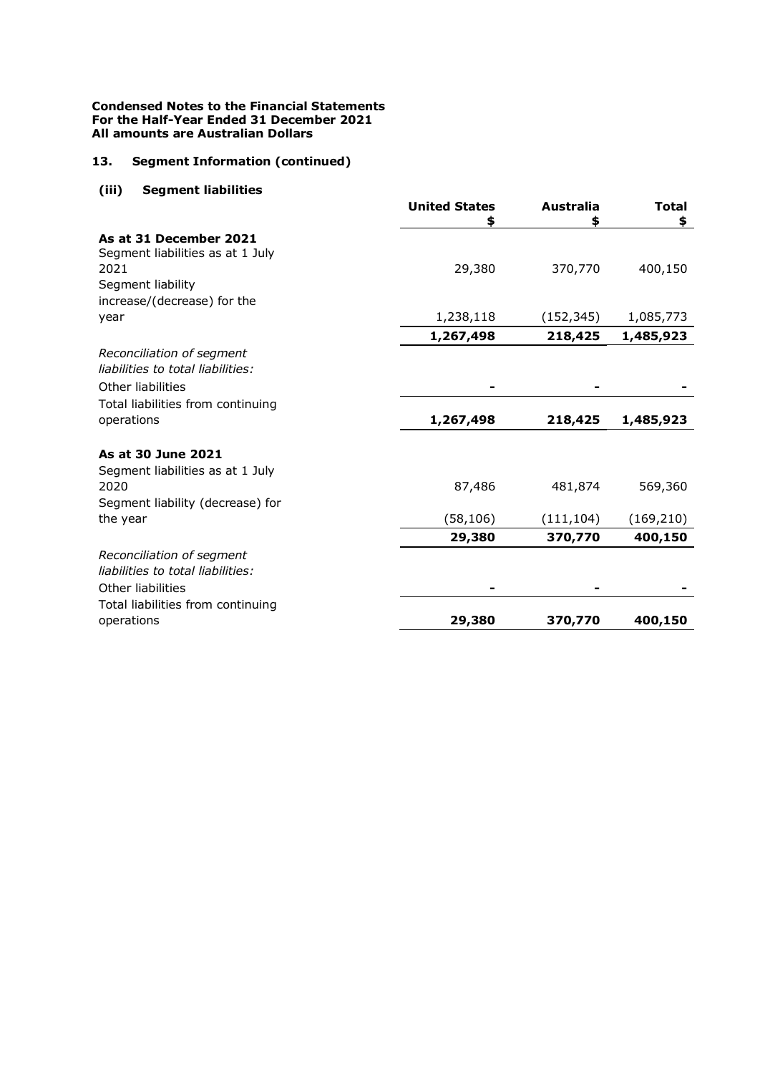# **13. Segment Information (continued)**

# **(iii) Segment liabilities**

|                                                 | <b>United States</b> | Australia  | <b>Total</b> |
|-------------------------------------------------|----------------------|------------|--------------|
| As at 31 December 2021                          |                      | \$         | \$           |
| Segment liabilities as at 1 July                |                      |            |              |
| 2021                                            | 29,380               | 370,770    | 400,150      |
| Segment liability                               |                      |            |              |
| increase/(decrease) for the                     |                      |            |              |
| year                                            | 1,238,118            | (152, 345) | 1,085,773    |
|                                                 | 1,267,498            | 218,425    | 1,485,923    |
| Reconciliation of segment                       |                      |            |              |
| liabilities to total liabilities:               |                      |            |              |
| Other liabilities                               |                      |            |              |
| Total liabilities from continuing               |                      |            |              |
| operations                                      | 1,267,498            | 218,425    | 1,485,923    |
| As at 30 June 2021                              |                      |            |              |
| Segment liabilities as at 1 July                |                      |            |              |
| 2020                                            | 87,486               | 481,874    | 569,360      |
| Segment liability (decrease) for                |                      |            |              |
| the year                                        | (58, 106)            | (111, 104) | (169, 210)   |
|                                                 | 29,380               | 370,770    | 400,150      |
| Reconciliation of segment                       |                      |            |              |
| liabilities to total liabilities:               |                      |            |              |
| Other liabilities                               |                      |            |              |
| Total liabilities from continuing<br>operations | 29,380               | 370,770    | 400,150      |
|                                                 |                      |            |              |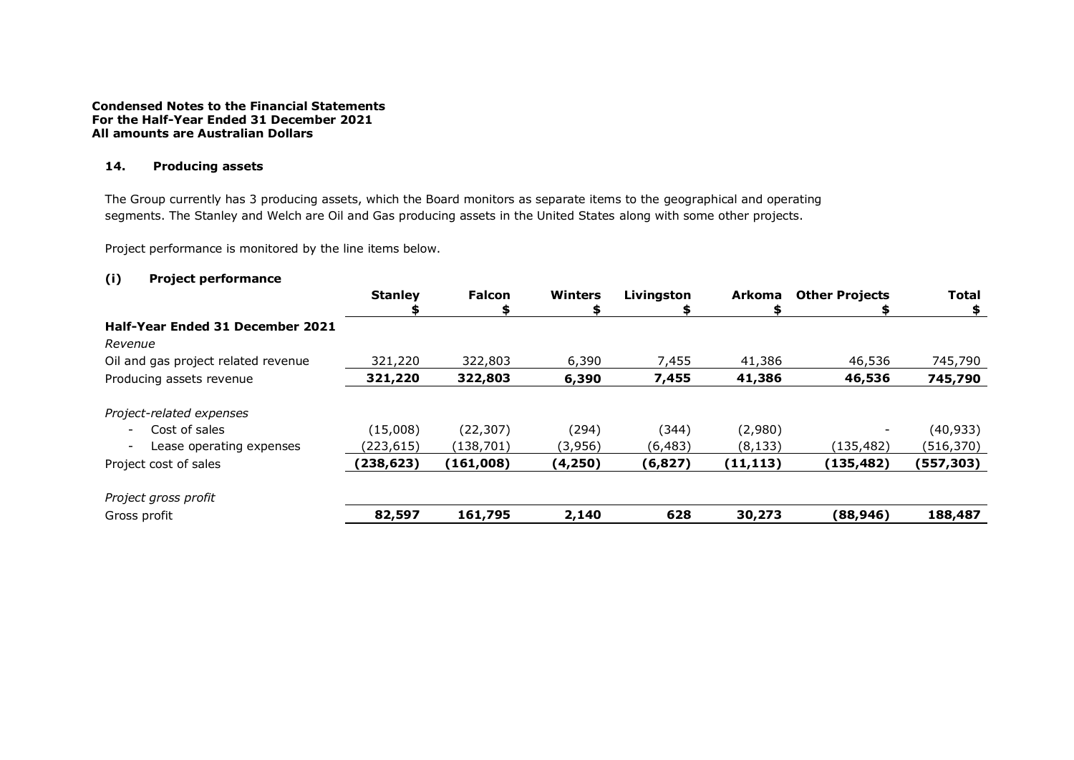### **14. Producing assets**

The Group currently has 3 producing assets, which the Board monitors as separate items to the geographical and operating segments. The Stanley and Welch are Oil and Gas producing assets in the United States along with some other projects.

Project performance is monitored by the line items below.

# **(i) Project performance**

|                                                      | <b>Stanley</b> | <b>Falcon</b> | <b>Winters</b> | Livingston | <b>Arkoma</b> | <b>Other Projects</b> | <b>Total</b> |
|------------------------------------------------------|----------------|---------------|----------------|------------|---------------|-----------------------|--------------|
| Half-Year Ended 31 December 2021                     |                |               |                |            |               |                       |              |
| Revenue                                              |                |               |                |            |               |                       |              |
| Oil and gas project related revenue                  | 321,220        | 322,803       | 6,390          | 7,455      | 41,386        | 46,536                | 745,790      |
| Producing assets revenue                             | 321,220        | 322,803       | 6,390          | 7,455      | 41,386        | 46,536                | 745,790      |
| Project-related expenses                             |                |               |                |            |               |                       |              |
| Cost of sales<br>$\overline{\phantom{a}}$            | (15,008)       | (22, 307)     | (294)          | (344)      | (2,980)       |                       | (40, 933)    |
| Lease operating expenses<br>$\overline{\phantom{a}}$ | (223,615)      | (138,701)     | (3,956)        | (6, 483)   | (8, 133)      | (135,482)             | (516, 370)   |
| Project cost of sales                                | (238, 623)     | (161,008)     | (4, 250)       | (6, 827)   | (11, 113)     | (135, 482)            | (557, 303)   |
| Project gross profit                                 |                |               |                |            |               |                       |              |
| Gross profit                                         | 82,597         | 161,795       | 2,140          | 628        | 30,273        | (88, 946)             | 188,487      |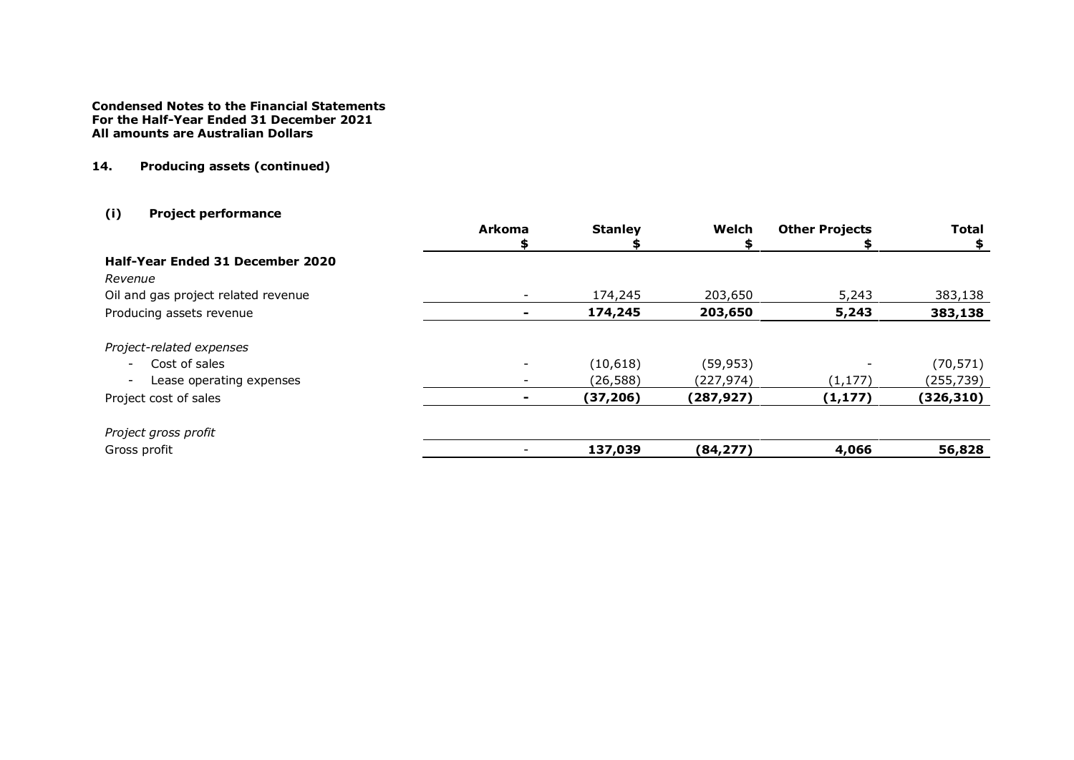# **14. Producing assets (continued)**

# **(i) Project performance**

|                                                      | <b>Arkoma</b> | <b>Stanley</b> | Welch      | <b>Other Projects</b> | <b>Total</b> |
|------------------------------------------------------|---------------|----------------|------------|-----------------------|--------------|
|                                                      |               |                |            |                       | \$           |
| Half-Year Ended 31 December 2020                     |               |                |            |                       |              |
| Revenue                                              |               |                |            |                       |              |
| Oil and gas project related revenue                  |               | 174,245        | 203,650    | 5,243                 | 383,138      |
| Producing assets revenue                             |               | 174,245        | 203,650    | 5,243                 | 383,138      |
| Project-related expenses                             |               |                |            |                       |              |
| Cost of sales<br>$\overline{\phantom{a}}$            |               | (10,618)       | (59, 953)  |                       | (70, 571)    |
| Lease operating expenses<br>$\overline{\phantom{a}}$ |               | (26, 588)      | (227,974)  | (1, 177)              | (255,739)    |
| Project cost of sales                                |               | (37, 206)      | (287, 927) | (1, 177)              | (326, 310)   |
| Project gross profit                                 |               |                |            |                       |              |
| Gross profit                                         |               | 137,039        | (84, 277)  | 4,066                 | 56,828       |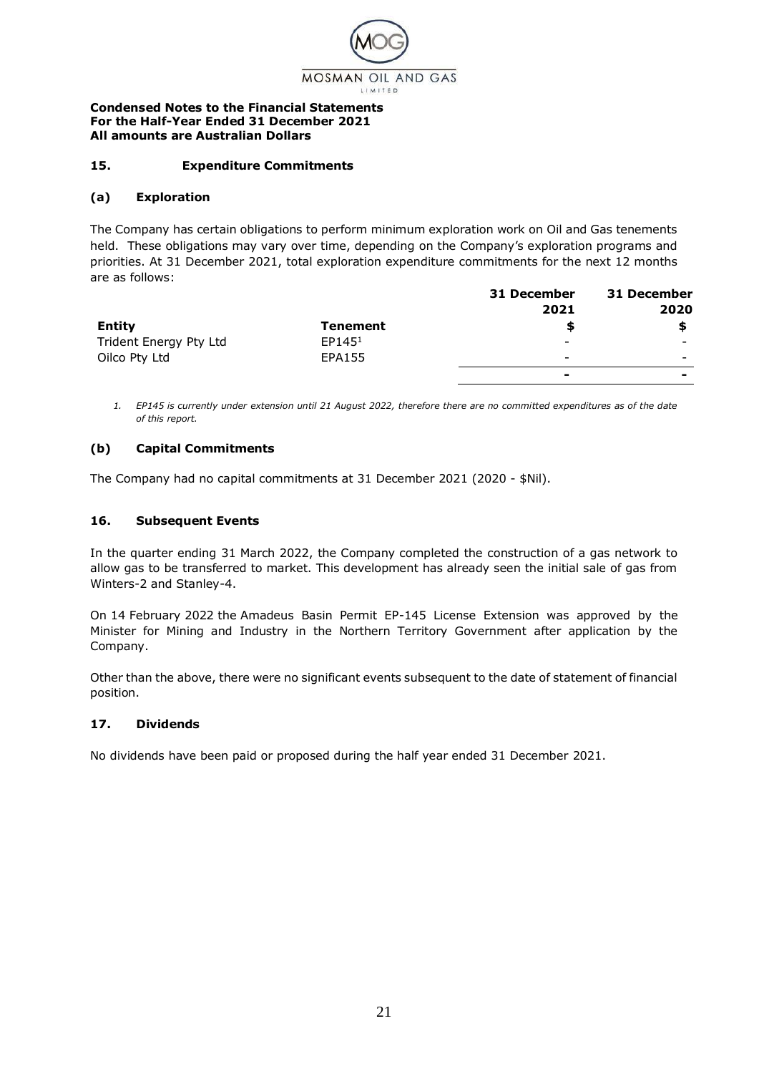

# **15. Expenditure Commitments**

### **(a) Exploration**

The Company has certain obligations to perform minimum exploration work on Oil and Gas tenements held. These obligations may vary over time, depending on the Company's exploration programs and priorities. At 31 December 2021, total exploration expenditure commitments for the next 12 months are as follows:

|                        |                    | 31 December              | 31 December              |
|------------------------|--------------------|--------------------------|--------------------------|
|                        |                    | 2021                     | 2020                     |
| <b>Entity</b>          | <b>Tenement</b>    |                          |                          |
| Trident Energy Pty Ltd | EP145 <sup>1</sup> | $\overline{\phantom{0}}$ | $\overline{\phantom{0}}$ |
| Oilco Pty Ltd          | EPA155             | $\overline{\phantom{0}}$ | $\overline{\phantom{0}}$ |
|                        |                    | $\overline{\phantom{a}}$ |                          |

*1. EP145 is currently under extension until 21 August 2022, therefore there are no committed expenditures as of the date of this report.*

### **(b) Capital Commitments**

The Company had no capital commitments at 31 December 2021 (2020 - \$Nil).

### **16. Subsequent Events**

In the quarter ending 31 March 2022, the Company completed the construction of a gas network to allow gas to be transferred to market. This development has already seen the initial sale of gas from Winters-2 and Stanley-4.

On 14 February 2022 the Amadeus Basin Permit EP-145 License Extension was approved by the Minister for Mining and Industry in the Northern Territory Government after application by the Company.

Other than the above, there were no significant events subsequent to the date of statement of financial position.

### **17. Dividends**

No dividends have been paid or proposed during the half year ended 31 December 2021.